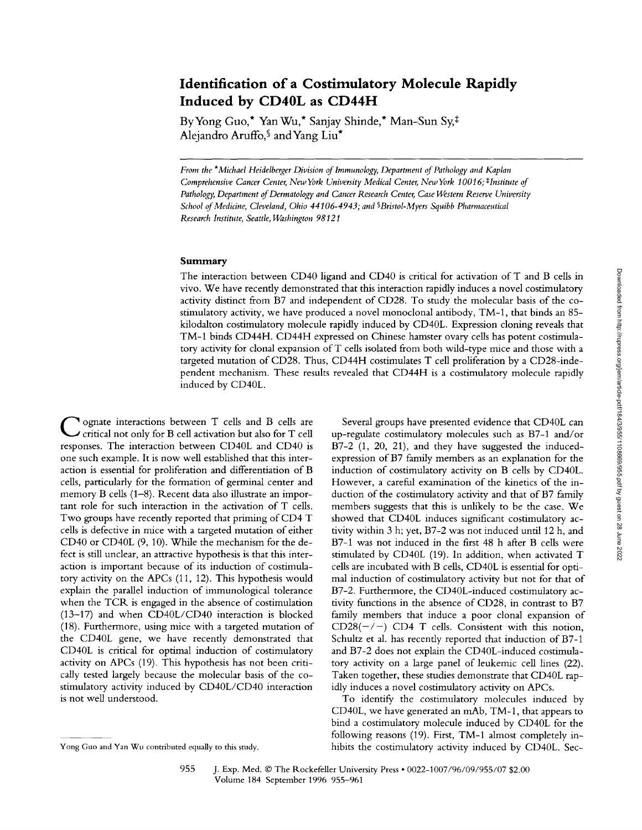# **Identification of a Costimulatory Molecule Rapidly Induced by CD40L as CD44H**

By Yong Guo,\* Yan Wu,\* Sanjay Shinde,\* Man-Sun Sy,<sup>‡</sup> Aleiandro Aruffo, and Yang Liu\*

*From the \*Michael Heidelberger Division of Immunology, Department of Pathology and Kaplan Comprehensive Cancer Center, New York University Medical Center, New York 10016; #Institute of Pathology, Department of Dermatology and Cancer Research Center, Case Western Reserve University*  School of Medicine, Cleveland, Ohio 44106-4943; and <sup>§</sup> Bristol-Myers Squibb Pharmaceutical *Research Institute, Seattle, Washington 98121* 

# **Summary**

The interaction between CD40 ligand and CD40 is critical for activation of T and B cells in vivo. We have recently demonstrated that this interaction rapidly induces a novel costimulatory activity distinct from B7 and independent of CD28. To study the molecular basis of the costimulatory activity, we have produced a novel monoclonal antibody, TM-1, that binds an 85 kilodalton costimulatory molecule rapidly induced by CD40L. Expression cloning reveals that TM-1 binds CD44H. CD44H expressed on Chinese hamster ovary cells has potent costimulatory activity for clonal expansion ofT cells isolated from both wild-type mice and those with a targeted mutation of CD28. Thus, CD44H costimulates T cell proliferation by a CD28-independent mechanism. These results revealed that CD44H is a costimulatory molecule rapidly induced by CD40L.

**C** ognate interactions between T cells and B cells are critical not only for B cell activation but also for T cell responses. The interaction between CD40L and CD40 is one such example. It is now well established that this interaction is essential for proliferation and differentiation of B cells, particularly for the formation of germinal center and memory B cells (1-8). Recent data also illustrate an important role for such interaction in the activation of T cells. Two groups have recently reported that priming of CD4 T cells is defective in mice with a targeted mutation of either CD40 or CD40L (9, 10). While the mechanism for the defect is still unclear, an attractive hypothesis is that this interaction is important because of its induction of costimulatory activity on the APCs (11, 12). This hypothesis would explain the parallel induction of immunological tolerance when the TCR is engaged in the absence of costimulation (13-17) and when CD40L/CD40 interaction is blocked (18). Furthermore, using mice with a targeted mutation of the CD40L gene, we have recently demonstrated that CD40L is critical for optimal induction of costimulatory activity on APCs (19). This hypothesis has not been critically tested largely because the molecular basis of the costimulatory activity induced by *CD4OL/CD40* interaction is not well understood.

Several groups have presented evidence that CD40L can up-regulate costimulatory molecules such as B7-1 and/or B7-2 (1, 20, 21), and they have suggested the inducedexpression of B7 family members as an explanation for the induction of costimulatory activity on B cells by CD40L. However, a careful examination of the kinetics of the induction of the costimulatory activity and that of B7 family members suggests that this is unlikely to be the case. We showed that CD40L induces significant costimulatory activity within 3 h; yet, B7-2 was not induced until 12 h, and B7-1 was not induced in the first 48 h after B cells were stimulated by CD40L (19). In addition, when activated T cells are incubated with B cells, CD40L is essential for optimal induction of costimulatory activity but not for that of B7-2. Furthermore, the CD40L-induced costimulatory activity functions in the absence of CD28, in contrast to B7 family members that induce a poor clonal expansion of CD28( $-/-$ ) CD4 T cells. Consistent with this notion, Schultz et al. has recently reported that induction of B7-1 and B7-2 does not explain the CD40L-induced costimulatory activity on a large panel of leukemic cell lines (22). Taken together, these studies demonstrate that CD40L rapidly induces a novel costimulatory activity on APCs.

To identify the costimulatory molecules induced by CD40L, we have generated an mAb, TM-1, that appears to bind a costimulatory molecule induced by CD40L for the following reasons (19). First, TM-1 almost completely inhibits the costimulatory activity induced by CD40L. Sec-

Yong Guo and Yan Wu contributed equally to this study.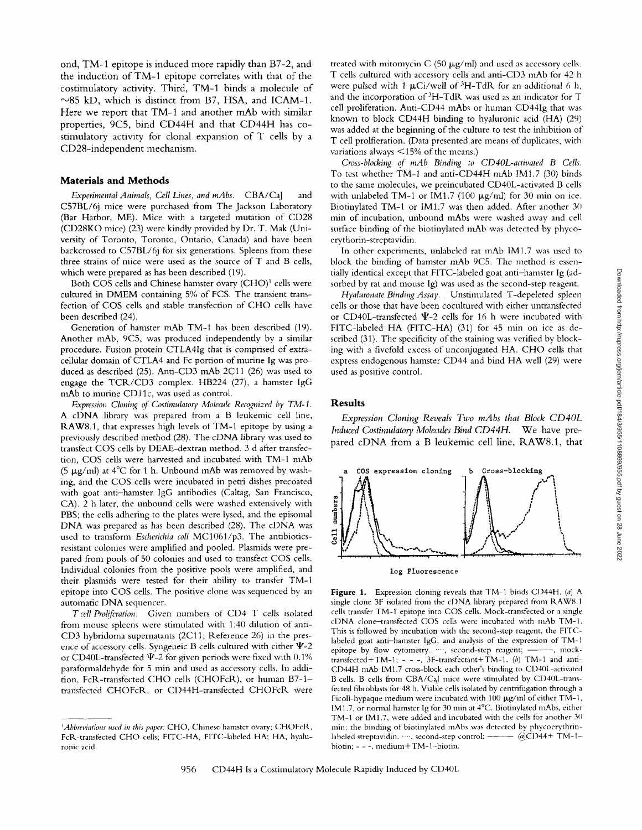ond, TM-1 epitope is induced more rapidly than B7-2, and the induction of TM-1 epitope correlates with that of the costimulatory activity. Third, TM-1 binds a molecule of  $\sim$ 85 kD, which is distinct from B7, HSA, and ICAM-1. Here we report that TM-1 and another mAb with similar properties, 9C5, bind CD44H and that CD44H has costimulatory activity for clonal expansion of T cells by a CD28-independent mechanism.

#### **Materials and Methods**

*Experimental Animals, Cell Lines, and mAbs.* CBA/CaJ and C57BL/6j mice were purchased from The Jackson Laboratory (Bar Harbor, ME). Mice with a targeted mutation of CD28 (CD28KO mice) (23) were kindly provided by Dr. T. Mak (University of Toronto, Toronto, Ontario, Canada) and have been backcrossed to C57BL/6j for six generations. Spleens from these three strains of mice were used as the source of T and B cells, which were prepared as has been described (19).

Both COS cells and Chinese hamster ovary (CHO)<sup>1</sup> cells were cultured in DMEM containing 5% of FCS. The transient transfection of COS cells and stable transfection of CHO cells have been described (24).

Generation of hamster mAb TM-I has been described (19). Another mAb, 9C5, was produced independently by a similar procedure. Fusion protein CTLA41g that is comprised of extracellular domain of CTLA4 and Fc portion of murine Ig was produced as described (25). Anti-CD3 mAb 2C11 (26) was used to engage the TCR/CD3 complex. HB224 (27), a hamster IgG mAb to murine CD11c, was used as control.

*Expression Cloning of Costimulatory Molecule Recognized by TM-1.*  A cDNA library was prepared from a B leukemic cell line, RAW8.1, that expresses high levels of TM-1 epitope by using a previously described method (28). The eDNA library was used to transfect COS cells by DEAE-dextran method. 3 d after transfection, COS cells were harvested and incubated with TM-1 mAb (5  $\mu$ g/ml) at 4°C for 1 h. Unbound mAb was removed by washing, and the COS cells were incubated in petri dishes precoated with goat anti-hamster IgG antibodies (Caltag, San Francisco, CA). 2 h later, the unbound cells were washed extensively with PBS; the cells adhering to the plates were lysed, and the episomal DNA was prepared as has been described (28). The eDNA was used to transform *Escherichia coil* MC1061/p3. The antibioticsresistant colonies were amplified and pooled. Plasmids were prepared from pools of 50 colonies and used to transfect COS cells. Individual colonies from the positive pools were amplified, and their plasmids were tested for their ability to transfer TM-1 epitope mto COS cells. The positive clone was sequenced by an automatic DNA sequencer.

*T cell Proliferation.* Given numbers of CD4 T cells isolated from mouse spleens were stimulated with 1:40 dilution of anti-CD3 hybridoma supernatants (2Cll; Reference 26) in the presence of accessory cells. Syngeneic B cells cultured with either  $\Psi$ -2 or CD40L-transfected  $\Psi$ -2 for given periods were fixed with 0.1% paraformaldehyde for 5 min and used as accessory cells. In addition, FcR-transfected CHO cells (CHOFcR), or human B7-1transfected CHOFcR, or CD44H-transfected CHOFcR were

treated with mitomycin C (50  $\mu$ g/ml) and used as accessory cells. T cells cultured with accessory cells and anti-CD3 mAb for 42 h were pulsed with 1  $\mu$ Ci/well of <sup>3</sup>H-TdR for an additional 6 h, and the incorporation of 3H-TdR was used as an indicator for T cell proliferation. Anti-CD44 mAbs or human CD44Ig that was known to block CD44H binding to hyaluronic acid (HA) (29) was added at the beginning of the culture to test the inhibition of T cell prolfieration. (Data presented are means of duplicates, with variations always < 15% of the means.)

*Cross-blocking q[" mAb Binding to CD4OL-activated B Cells.*  To test whether TM-I and anti-CD44H mAb IMI.7 (30) binds to the same molecules, we preincubated CD40L-activated B cells with unlabeled TM-1 or IM1.7 (100  $\mu$ g/ml) for 30 min on ice. Biotinylated TM-1 or lM1.7 was then added. After another 30 min of incubation, unbound mAbs were washed away and cell surface binding of the biotinylated mAb was detected by phycoerythorin-streptavidin.

In other experiments, unlabeled rat mAb IM1.7 was used to block the binding of hamster mAb 9C5. The method is essentially identical except that FITC-labeled goat anti-hamster Ig (adsorbed by rat and mouse Ig) was used as the second-step reagent.

*Hyaluronate Binding Assay.* Unstimulated T-depeleted spleen cells or those that have been cocultured with either untransfected or CD40L-transfected  $\Psi$ -2 cells for 16 h were incubated with FITC-labeled HA (FITC-HA) (31) for 45 min on ice as described (31). The specificity of the staining was verified by blocking with a fivefotd excess of unconjugated HA. CHO cells that express endogenous hamster CD44 and bind HA well (29) were used as positive control.

#### **Results**

*Expression Cloning Reveals Two mAbs that Block CD40L Induced Costimulatory Molecules Bind CD44H.* We have prepared cDNA from a B leukemic cell line, RAW8.1, that



log Fluorescence

Figure 1. Expression cloning reveals that TM-1 binds CD44H. (a) A single clone 3F isolated from the cDNA library prepared from R.AW8.1 cells transfer TM-1 epitope into COS cells. Mock-transfected or a single cDNA clone-transfected COS cells were incubated with mAb TM-I. This is followed by incubation with the second-step reagent, the FITClabeled goat anti-hamster IgG, and analysis of the expression of TM-I epitope by flow cytometry. "", second-step reagent; -----, mocktransfected + TM-1; - - -, 3F-transfectant + TM-1. (b) TM-1 and anti-CD44H mAb IM1.7 cross-block each other's binding to CD40L-activated B cells. B cells from CBA/CaJ mice were stimulated by CD40L-transfected fibroblasts for 48 h. Viable cells isolated by centrifugation through a Ficoll-hypaque medium were incubated with  $100 \mu g/ml$  of either TM-1, IM1.7, or normal hamster Ig for 30 min at 4°C. Biotinylated mAbs, either TM-1 or IM1.7, were added and incubated with the cells for another 3{) min; the binding of biotinylated mAbs was detected by phycoerythrinlabeled streptavidin. "", second-step control;  $\frac{1}{1-\cdots}$  (a)CI)44+ TM-1biotin; - - -, medium+TM-l-biotin.

*<sup>~</sup> Abbreviations used in this paper:* CHO, Chinese hamster ovary; CHOFcR, FcR-transfected CHO cells; FITC-HA, FITC-labeled HA; HA, hyaluronic acid.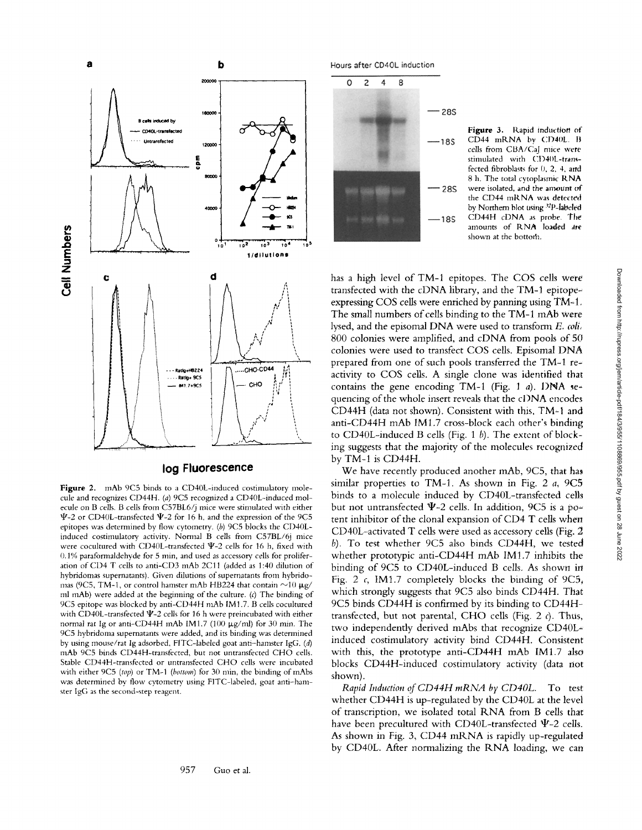

## **log Fluorescence**

**Figure** 2. mAb 9C5 binds to a CD40L-induced costimulatory molecule and recognizes CD44H. (a) 9C5 recognized a CD40L-induced molecule on B cells. B cells from C57BL6/j mice were stimulated with either  $\Psi$ -2 or CD40L-transfected  $\Psi$ -2 for 16 h, and the expression of the 9C5 epitopes was determined by flow cytometry. (b) 9C5 blocks the CD40Linduced costimulatory activity. Normal B cells from C57BL/6j mice were cocultured with CD40L-transfected  $\Psi$ -2 cells for 16 h, fixed with 0.1% paraformaldehyde for 5 min, and used as accessory cells for proliferation of CD4 T cells to anti-CD3 mAb 2C11 (added as 1:40 dilution of hybridomas supernatants). Given dilutions of supernatants from hybridomas (9C5, TM-1, or control hamster mAb HB224 that contain  $\sim$ 10  $\mu$ g/ ml mAb) were added at the beginning of the culture. (c) The binding of 9C5 epitope was blocked by anti-CD44H mAb IM1.7. B cells cocultured with CD40L-transfected  $\Psi$ -2 cells for 16 h were preincubated with either normal rat Ig or anti-CD44H mAb IM1.7 (100  $\mu$ g/ml) for 30 min. The 9C5 hybridoma supernatants were added, and its binding was determined by using mouse/rat Ig adsorbed, FITC-labeled goat anti-hamster IgG. (d) mAb 9C5 binds CD44H-transfected, but not untransfected CHO cells. Stable CD44H-transfected or untransfected CHO cells were incubated with either 9C5 *(top)* or TM-1 *(bottom)* for 30 min, the binding of mAbs was determined by flow cytometry using FITC-labeled, goat anti-hamster IgG as the second-step reagent.

957 Guo et al.

Hours after CD40L induction



Figure 3. Rapid induction of  $CD44$  mRNA by  $CD40L$ . B cells from CBA/CaJ mice were stimulated with CD40L-transfected fibroblasts for 0, 2, 4, and 8 h. The total cytoplasmic RNA were isolated, and the amount of the CD44 mRNA was detected by Northern blot using <sup>32</sup>P-labeled CD44H cDNA as probe. The amounts of RNA loaded **are**  shown at the bottom.

has a high level of TM-1 epitopes. The COS cells were transfected with the cDNA library, and the TM-1 epitope~ expressing COS cells were enriched by panning using TM-1. The small numbers of cells binding to the TM-1 mAb were lysed, and the episomal DNA were used to transform E, *coli,*  800 colonies were amplified, and cDNA from pools of 50 colonies were used to transfect COS cells. Episomal DNA prepared from one of such pools transferred the TM-1 reactivity to COS cells. A single clone was identified that contains the gene encoding TM-1 (Fig. 1 a). DNA sequencing of the whole insert reveals that the cl)NA encodes CD44H (data not shown). Consistent with this, TM-I and anti-CD44H mAb IM1,7 cross-block each other's binding to CD40L-induced B cells (Fig. 1  $b$ ). The extent of blocking suggests that the majority of the molecules *recognized*  by TM-1 is CD44H.

We have recently produced another mAb, 9C5, that has similar properties to TM-1. As shown in Fig. 2 a, 9C5 binds to a molecule induced by CD40L-transfected cells but not untransfected  $\Psi$ -2 cells. In addition, 9C5 is a potent inhibitor of the clonal expansion of CD4 T cells when CD40L-activated T cells were used as accessory cells (Fig. 2 b). To test whether 9C5 also binds CD44H, we tested whether prototypic anti-CD44H mAb IM1.7 inhibits the binding of 9C5 to CD40L-induced B cells, As shown in Fig. 2  $c$ , IM1.7 completely blocks the binding of 9C5, which strongly suggests that 9C5 also binds CD44H, That 9C5 binds CD44H is confirmed by its binding to CD44Htransfected, but not parental, CHO cells (Fig. 2  $c$ ). Thus, two independently derived mAbs that recognize CD40Linduced costimulatory activity bind CD44H. Consistent with this, the prototype anti-CD44H mAb IM1.7 also blocks CD44H-induced costimulatory activity (data not shown).

*Rapid Induction of CD44H mRNA by CD4OL.* To test whether CD44H is up-regulated by the CD40L at the level of transcription, we isolated total RNA from B cells that have been precultured with CD40L-transfected  $\Psi$ -2 cells. As shown in Fig. 3, CD44 mRNA is rapidly up-regulated by CD40L. After normalizing the RNA loading, we can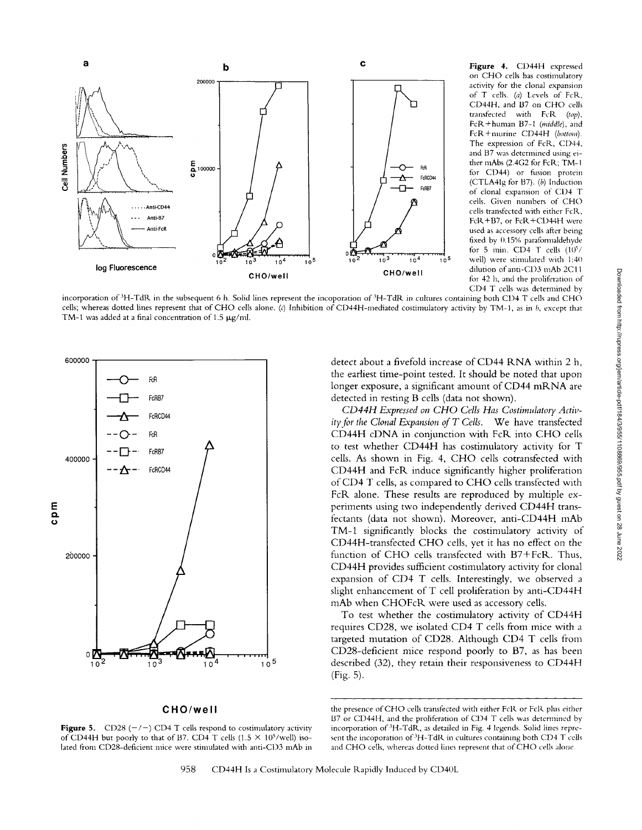

**Figure** 4. CD44H expressed on CHO cells has costimulatory activity for the clonal expansion of T cells. (a) Levels of *FoR,*  CD44H, and B7 on CHO cells transfected with FcK *(top),*  FcR+human B7-1 *(middh'),* and FcR+nmrine CD44H *(bottom).*  The expression of FcR, CD44, and B7 was determined using either mAbs (2.4G2 for FcR; TM-1 for CD44) or fusion protein (CTLA41g for B7). (b) Induction of clonal expansion of CD4 T cells. Given numbers of CHO cells transfected with either FcR, FcR+B7, or FcR+CD44H were used as accessory cells after being fixed by  $0.15%$  paraformaldehyde for 5 min.  $CD4$  T cells  $(10^5/$ well) were stimulated with 1:40 dilution of anti-C1)3 mAb 2C11 for 42 h, and the proliferation of CD4 T cells was determined by

incorporation of <sup>3</sup>H-TdR in the subsequent 6 h. Solid lines represent the incoporation of <sup>3</sup>H-TdR in cultures containing both CD4 T cells and CHO cells; whereas dotted lines represent that of CHO cells alone. (c) Inhibition of CD44H-mediated costimulatory activity by TM-1, as in b, except that TM-1 was added at a final concentration of 1.5  $\mu$ g/ml.



#### **CHOlwell**

**Figure 5.** CD28  $(-/-)$  CD4 T cells respond to costimulatory activity of CD44H but poorly to that of B7. CD4 T cells (1.5  $\times$  10<sup>5</sup>/well) isolated from CD28-deficient mice were stimulated with anti-CD3 mAb in

detect about a fivefold increase of CD44 RNA within 2 h, the earliest time-point tested, tt should be noted that upon longer exposure, a significant amount of CD44 mRNA are detected in resting B cells (data not shown).

*CD44H Expressed on CHO Cells Has Costimulatory Activity for the Clonal Expansion of T Cells.* We have transfected CD44H cDNA in conjunction with FcR into CHO cells to test whether CD44H has costimulatory activity for T cells. As shown in Fig. 4, CHO cells cotransfected with CD44H and FcR induce significantly higher proliferation of CD4 T cells, as compared to CHO cells transfected with FcR alone. These results are reproduced by multiple experiments using two independently derived CD44H transfectants (data not shown). Moreover, anti-CD44H mAb TM-1 significantly blocks the costimulatory activity of CD44H-transfected CHO cells, yet it has no effect on the function of CHO cells transfected with B7+FcR. Thus, CD44H provides sufficient costimulatory activity for clonal expansion of CD4 T cells. Interestingly, we observed a slight enhancement of T cell proliferation by anti-CD44H mAb when CHOFcR were used as accessory cells.

To test whether the costimulatory activity of CD44H requires CD28, we isolated CD4 T cells from mice with a targeted mutation of CD28. Although CD4 T cells from CD28-deficient mice respond poorly to B7, as has been described (32), they retain their responsiveness to CD44H (Fig. 5).

the presence of CHO cells transfected with either FcK or FcR plus either B7 or CD44H, and the proliferation of CD4 T cells was determined by incorporation of'3H-TdR, as detailed in Fig. 4 legends. Solid lines represent the incoporation of <sup>3</sup>H-TdR in cultures containing both CD4 T cells and CHO ceils, whereas dotted lines represent that of CHO cells alone.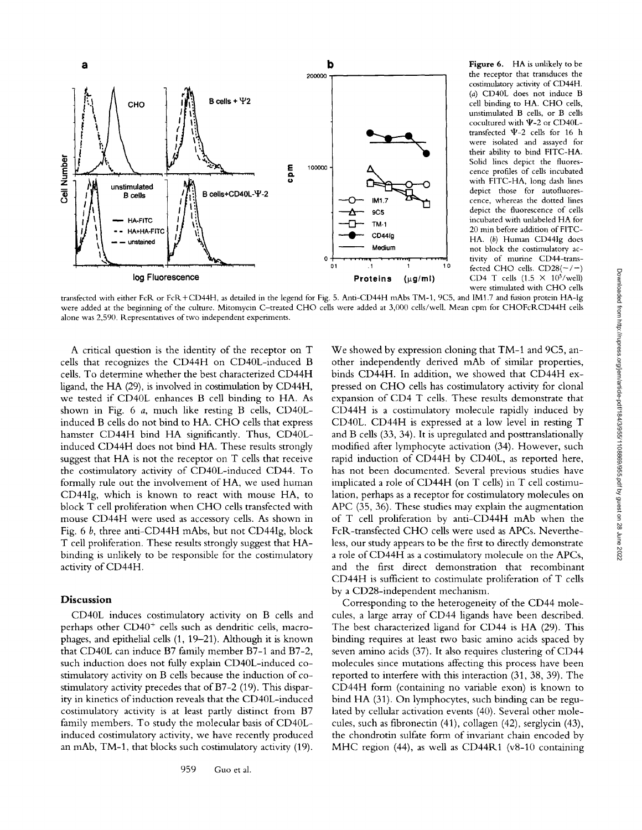

**Figure** 6. HA is unlikely to be the receptor that transduces the costimulatory activity of CD44H. (a) CD40L does not induce B cell binding to HA. CHO cells, unstimulated B cells, or B cells cocultured with  $\Psi$ -2 or CD40Ltransfected  $\Psi$ -2 cells for 16 h were isolated and assayed for their ability to bind FITC-HA. Solid lines depict the fluorescence profiles of cells incubated with FITC-HA, long dash lines depict those for autofluorescence, whereas the dotted lines depict the fluorescence of cells incubated with unlabeled HA for 20 min before addition of FITC-HA. (b) Human CD441g does **not** block the costimulatory activity of murine CD44-transfected CHO cells.  $CD28(-/-)$ CD4 T cells  $(1.5 \times 10^5/\text{well})$ were stimulated with CHO cells

transfected with either FcR or FcR+CD44H, as detailed in the legend for Fig. 5. Anti-CD44H mAbs TM-1, 9C5, and IM1.7 and fusion protein HA-Ig were added at the beginning of the culture. Mitomycin C-treated CHO cells were added at 3,000 cells/well. Mean cpm for CHOFcRCD44H cells alone was 2,590. Representatives of two independent experiments.

A critical question is the identity of the receptor on T cells that recognizes the CD44H on CD40L-induced B cells. To determine whether the best characterized CD44H ligand, the HA (29), is involved in costimulation by CD44H, we tested if CD40L enhances B cell binding to HA. As shown in Fig. 6 a, much like resting B cells, CD40Linduced B cells do not bind to HA. CHO cells that express hamster CD44H bind HA significantly. Thus, CD40Linduced CD44H does not bind HA. These results strongly suggest that HA is not the receptor on T cells that receive the costimulatory activity of CD40L-induced CD44. To formally rule out the involvement of HA, we used human CD44Ig, which is known to react with mouse HA, to block T cell proliferation when CHO cells transfected with mouse CD44H were used as accessory cells. As shown in Fig. 6 b, three anti-CD44H mAbs, but not CD44Ig, block T cell proliferation. These results strongly suggest that HAbinding is unlikely to be responsible for the costimulatory activity of CD44H.

#### **Discussion**

CD40L induces costimulatory activity on B cells and perhaps other  $CD40<sup>+</sup>$  cells such as dendritic cells, macrophages, and epithelial cells (1, 19-21). Although it is known that CD40L can induce B7 family member B7-1 and B7-2, such induction does not fully explain CD40L-induced costimulatory activity on B cells because the induction of costimulatory activity precedes that of B7-2 (19). This disparity in kinetics of induction reveals that the CD40L-induced costimulatory activity is at least partly distinct from B7 family members. To study the molecular basis of CD40Linduced costimulatory activity, we have recently produced an mAb, TM-1, that blocks such costimulatory activity (19).

We showed by expression cloning that TM-1 and 9C5, another independently derived mAb of similar properties, binds CD44H. In addition, we showed that CD44H expressed on CHO cells has costimulatory activity for clonal expansion of CD4 T cells. These results demonstrate that CD44H is a costimulatory molecule rapidly induced by CD40L. CD44H is expressed at a low level in resting T and B cells (33, 34). It is upregulated and posttranslationally modified after lymphocyte activation (34). However, such rapid induction of CD44H by CD40L, as reported here, has not been documented. Several previous studies have implicated a role of CD44H (on T cells) in T cell costimulation, perhaps as a receptor for costimulatory molecules on APC (35, 36). These studies may explain the augmentation of T cell proliferation by anti-CD44H mAb when the FcR-transfected CHO cells were used as APCs. Nevertheless, our study appears to be the first to directly demonstrate a role of CD44H as a costimulatory molecule on the APCs, and the first direct demonstration that recombinant CD44H is sufficient to costimulate proliferation of T cells by a CD28-independent mechanism.

Corresponding to the heterogeneity of the CD44 molecules, a large array of CD44 ligands have been described. The best characterized ligand for CD44 is HA (29). This binding requires at least two basic amino acids spaced by seven amino acids (37). It also requires clustering of CD44 molecules since mutations affecting this process have been reported to interfere with this interaction (31, 38, 39). The CD44H form (containing no variable exon) is known to bind HA (31). On lymphocytes, such binding can be regulated by cellular activation events (40). Several other molecules, such as fibronectin (41), collagen (42), serglycin (43), the chondrotin sulfate form of invariant chain encoded by MHC region  $(44)$ , as well as CD44R1 (v8-10 containing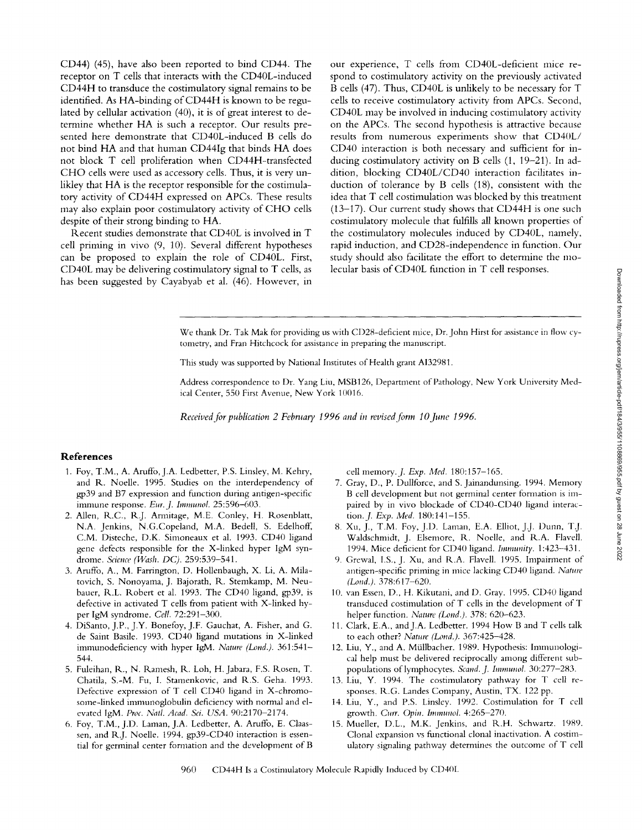CD44) (45), have also been reported to bind CD44. The receptor on T cells that interacts with the CD40L-induced CD44H to transduce the costimulatory signal remains to be identified. As HA-binding of CD44H is known to be regulated by cellular activation (40), it is of great interest to determine whether HA is such a receptor. Our results presented here demonstrate that CD40L-induced B cells do not bind HA and that human CD44Ig that binds HA does not block T cell proliferation when CD44H-transfected CHO cells were used as accessory cells. Thus, it is very unlikley that HA is the receptor responsible for the costimulatory activity of CD44H expressed on APCs. These results may also explain poor costimulatory activity of CHO cells despite of their strong binding to HA.

Recent studies demonstrate that CD40L is involved in T cell priming in vivo (9, 10). Several different hypotheses can be proposed to explain the role of CD40L. First, CD40L may be delivering costimulatory signal to T cells, as has been suggested by Cayabyab et al. (46). However, in our experience, T cells from CD40L-deficient mice respond to costimulatory activity on the previously activated B ceils (47). Thus, CD40L is unlikely to be necessary for T cells to receive costimulatory activity from APCs. Second, CD40L may be involved in inducing costimulatory activity on the APCs. The second hypothesis is attractive because results from numerous experiments show that CD40L/ CD40 interaction is both necessary and sufficient for inducing costimulatory activity on B cells (1, 19-21). In addition, blocking CD40L/CD40 interaction facilitates induction of tolerance by B cells (18), consistent with the idea that T cell costimulation was blocked by this treatment (13-17). Our current study shows that CD44H is one such costimulatory molecule that fulfills all known properties of the costimulatory molecules induced by CD40L, namely, rapid induction, and CD28-independence in function. Our study should also facilitate the effort to determine the molecular basis of CD40L function in T cell responses.

We thank Dr. Tak Mak for providing us with CD28-deficient mice, Dr. John Hirst for assistance in flow cytometry, and Fran Hitchcock for assistance in preparing the manuscript.

This study was supported by National Institutes of Health grant A13298l.

Address correspondence to Dr. Yang Liu, MSB126, Department of Pathology, New York University Medical Center, 550 First Avenue, New York 10016.

*Received for publication 2 February 1996 and in revised form 10 June 1996.* 

## **References**

- 1. Foy, T.M., A. Aruffo, J.A. Ledbetter, P.S. Linsley, M. Kehry, and R. Noelle. 1995. Studies on the interdependency of gp39 and B7 expression and function during antigen-specific immune response. *Eur. J. Immunol.* 25:596-603.
- 2. Allen, R.C., R.J. Armitage, M.E. Conley, H. Rosenblatt, N.A. Jenkins, N.G.Copeland, M.A. Bedell, S. Edelhoff, C.M. Disteche, D.K. Simoneaux et al. 1993. CD40 ligand gene defects responsible for the X-linked hyper IgM syndrome. *Science (Wash. DC).* 259:539-541.
- 3. Aruffo, A., M. Farrington, D. Hollenbaugh, X. Li, A. Milatovich, S. Nonoyama, J. Bajorath, R. Stemkamp, M. Neubauer, R.L. Robert et al. 1993. The CD40 ligand, gp39, is defective in activated T cells from patient with X-linked hyper IgM syndrome. *Cell.* 72:291-300.
- 4. DiSanto, J.P., J.Y. Bonefoy, J.F. Gauchat, A. Fisher, and G. de Saint Basile. 1993. CD40 ligand mutations in X-linked immunodeficiency with hyper IgM. Nature (Lond.). 361:541-544.
- 5. Fuleihan, R., N. Ramesh, R. Loh, H. Jabara, F.S. Rosen, T. Chatila, S.-M. Fu, I. Stamenkovic, and R.S. Geha. 1993. Defective expression of T cell CD40 ligand in X-chromosome-linked immunoglobulin deficiency with normal and elevated IgM. *Proc. Natl. Acad. Sci. USA.* 90:2170-2174.
- 6. Foy, T.M., J.D. Laman, J.A. Ledbetter, A. Aruffo, E. Claassen, and R.J. Noelle. 1994. gp39-CD40 interaction is essential for germinal center formation and the development of B

cell memory..]. *Exp. Med.* 180:157-165.

- 7. Gray, D., P. Dultforce, and S. Jainandunsing. 1994. Memory B cell development but not germinal center formation is impaired by in vivo blockade of CD40-CD40 ligand interaction..J. *Exp. Med.* 180:141-155.
- 8. Xu, J., T.M. Foy, J.D. Laman, E.A. Elliot, J.J. Dunn, T.J. Waldschmidt, J. Elsemore, R. Noelle, and R.A. Flavell. 1994. Mice deficient for CD40 ligand, *hnmunity,* l:423-431.
- 9. Grewal, I.S., J. Xu, and R.A. Flavell. 1995. Impairment of antigen-specific priming in mice lacking CD40 ligand. *Nature (Lond.).* 378:617-620.
- 10. van Essen, D., H. Kikutani, and D. Gray. 1995. CD40 ligand transduced costimulation of T cells in the development of T helper function. *Nature (Lond.)*. 378: 620-623.
- 11. Clark, E.A., and J.A. Ledbetter. 1994 How B and T cells talk to each other? *Nature (Lond.).* 367:425-428.
- 12. Liu, Y., and A. Müllbacher. 1989. Hypothesis: Immunological help must be delivered reciprocally among different subpopulations of lymphocytes. *Scand. J. Immunol.* 30:277-283.
- 13. Liu, Y. 1994. The costimulatory pathway for T cell responses. R.G. Landes Company, Austin, TX. 122 pp.
- 14. Liu, Y., and P.S. Linsley. 1992. Costimulation for T cell growth. *Curt. Opin. Immunol.* 4:265-270.
- 15. Mueller, D.L., M.K. Jenkins, and R.H. Schwartz. 1989. Clonal expansion vs functional clonal inactivation. A costimulatory signaling pathway determines the outcome of T cell